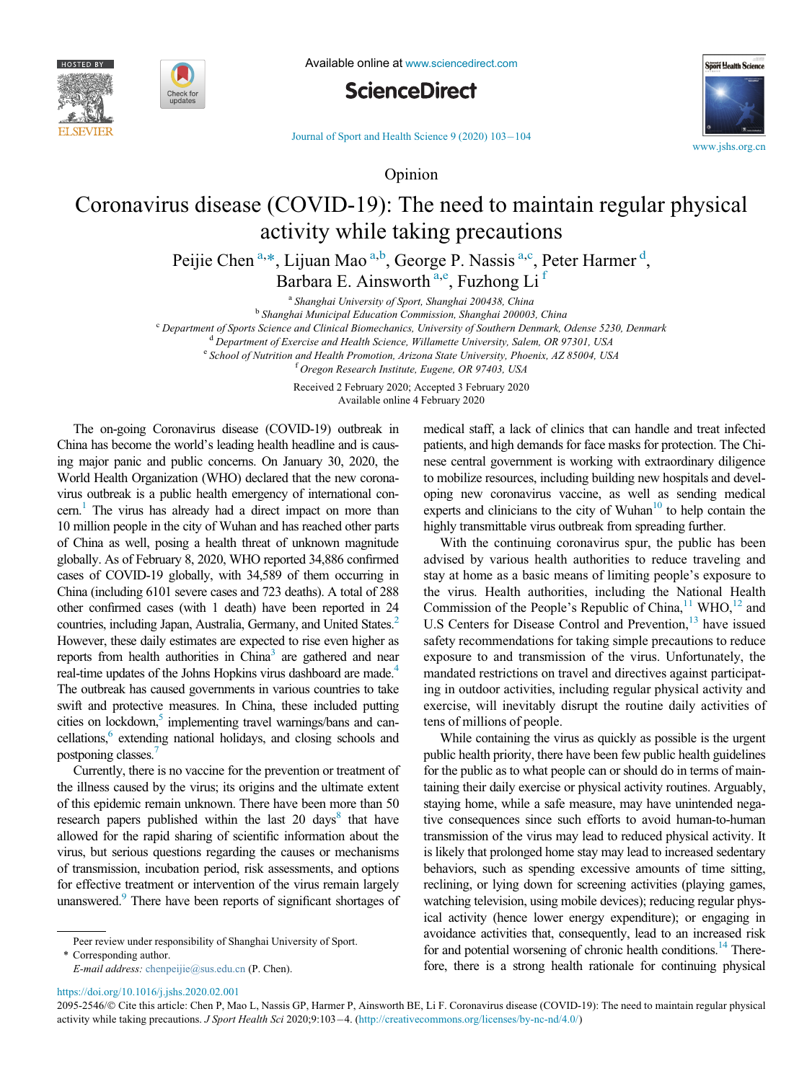







Journal of Sport and Health Science  $9(2020) 103-104$  $9(2020) 103-104$ 

Opinion

## <span id="page-0-0"></span>Coronavirus disease (COVID-19): The need to maintain regular physical activity while taking precautions

Peijie Chen<sup>[a](#page-0-0),[\\*](#page-0-1)</sup>, Lijuan Mao<sup>[a,](#page-0-0)[b](#page-0-2)</sup>, George P. Nassis<sup>a,[c](#page-0-3)</sup>, Peter Harmer<sup>[d](#page-0-4)</sup>, B[a](#page-0-0)rbara E. Ainsworth<sup>a,[e](#page-0-5)</sup>, Fuzhong Li<sup>[f](#page-0-6)</sup>

<sup>a</sup> Shanghai University of Sport, Shanghai 200438, China<br><sup>b</sup> Shanghai Municipal Education Commission, Shanghai 200003, China

 $^{\rm c}$  Department of Sports Science and Clinical Biomechanics, University of Southern Denmark, Odense 5230, Denmark<br>  $^{\rm d}$  Department of Exercise and Health Science, Willamette University, Salem, OR 97301, USA<br>  $^{\rm e}$ 

<sup>f</sup> Oregon Research Institute, Eugene, OR 97403, USA

Received 2 February 2020; Accepted 3 February 2020 Available online 4 February 2020

<span id="page-0-6"></span><span id="page-0-5"></span><span id="page-0-4"></span><span id="page-0-3"></span><span id="page-0-2"></span>The on-going Coronavirus disease (COVID-19) outbreak in China has become the world's leading health headline and is causing major panic and public concerns. On January 30, 2020, the World Health Organization (WHO) declared that the new coronavirus outbreak is a public health emergency of international concern.<sup>1</sup> The virus has already had a direct impact on more than 10 million people in the city of Wuhan and has reached other parts of China as well, posing a health threat of unknown magnitude globally. As of February 8, 2020, WHO reported 34,886 confirmed cases of COVID-19 globally, with 34,589 of them occurring in China (including 6101 severe cases and 723 deaths). A total of 288 other confirmed cases (with 1 death) have been reported in 24 countries, including Japan, Australia, Germany, and United States.<sup>2</sup> However, these daily estimates are expected to rise even higher as reports from health authorities in China<sup>[3](#page-1-2)</sup> are gathered and near real-time updates of the Johns Hopkins virus dashboard are made.<sup>4</sup> The outbreak has caused governments in various countries to take swift and protective measures. In China, these included putting cities on lockdown,<sup>5</sup> implementing travel warnings/bans and cancellations,<sup>6</sup> extending national holidays, and closing schools and postponing classes[.7](#page-1-6)

Currently, there is no vaccine for the prevention or treatment of the illness caused by the virus; its origins and the ultimate extent of this epidemic remain unknown. There have been more than 50 research papers published within the last 20 days<sup>[8](#page-1-7)</sup> that have allowed for the rapid sharing of scientific information about the virus, but serious questions regarding the causes or mechanisms of transmission, incubation period, risk assessments, and options for effective treatment or intervention of the virus remain largely unanswered.<sup>9</sup> There have been reports of significant shortages of

<span id="page-0-1"></span>\* Corresponding author. E-mail address: [chenpeijie@sus.edu.cn](mailto:chenpeijie@sus.edu.cn) (P. Chen). medical staff, a lack of clinics that can handle and treat infected patients, and high demands for face masks for protection. The Chinese central government is working with extraordinary diligence to mobilize resources, including building new hospitals and developing new coronavirus vaccine, as well as sending medical experts and clinicians to the city of Wuhan $10$  to help contain the highly transmittable virus outbreak from spreading further.

With the continuing coronavirus spur, the public has been advised by various health authorities to reduce traveling and stay at home as a basic means of limiting people's exposure to the virus. Health authorities, including the National Health Commission of the People's Republic of China,  $11$  WHO,  $12$  and U.S Centers for Disease Control and Prevention,<sup>13</sup> have issued safety recommendations for taking simple precautions to reduce exposure to and transmission of the virus. Unfortunately, the mandated restrictions on travel and directives against participating in outdoor activities, including regular physical activity and exercise, will inevitably disrupt the routine daily activities of tens of millions of people.

While containing the virus as quickly as possible is the urgent public health priority, there have been few public health guidelines for the public as to what people can or should do in terms of maintaining their daily exercise or physical activity routines. Arguably, staying home, while a safe measure, may have unintended negative consequences since such efforts to avoid human-to-human transmission of the virus may lead to reduced physical activity. It is likely that prolonged home stay may lead to increased sedentary behaviors, such as spending excessive amounts of time sitting, reclining, or lying down for screening activities (playing games, watching television, using mobile devices); reducing regular physical activity (hence lower energy expenditure); or engaging in avoidance activities that, consequently, lead to an increased risk for and potential worsening of chronic health conditions.<sup>14</sup> Therefore, there is a strong health rationale for continuing physical

<https://doi.org/10.1016/j.jshs.2020.02.001>

2095-2546/© Cite this article: Chen P, Mao L, Nassis GP, Harmer P, Ainsworth BE, Li F. Coronavirus disease (COVID-19): The need to maintain regular physical activity while taking precautions. J Sport Health Sci 2020;9:103-4. [\(http://creativecommons.org/licenses/by-nc-nd/4.0/\)](http://creativecommons.org/licenses/by-nc-nd/4.0/)

Peer review under responsibility of Shanghai University of Sport.